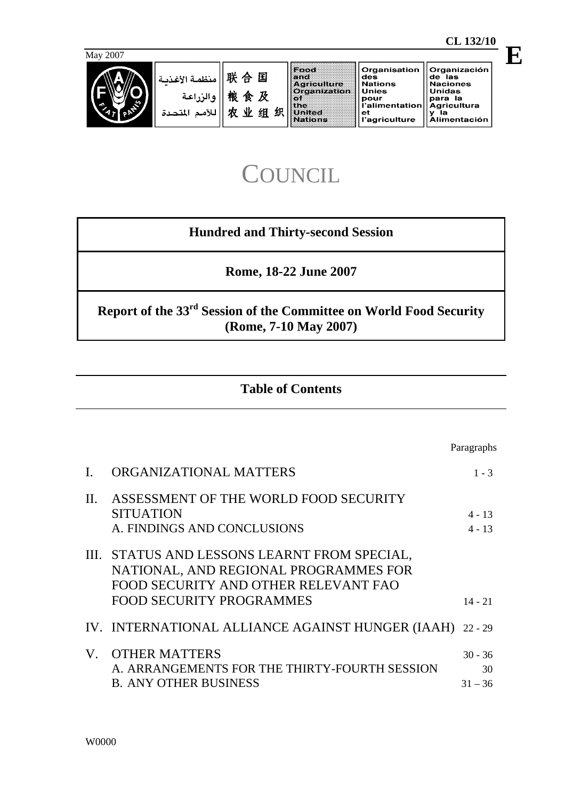Paragraphs

| des           | de las              |
|---------------|---------------------|
| Nations       | <b>Naciones</b>     |
| Unies         | <b>Unidas</b>       |
| pour          | la                  |
| 'alimentation | para                |
| et            | <b>Agricultura</b>  |
| 'agriculture  | Alimentación        |
|               | <b>Crganization</b> |

# **COUNCIL**

# **Hundred and Thirty-second Session**

**Rome, 18-22 June 2007** 

**Report of the 33rd Session of the Committee on World Food Security (Rome, 7-10 May 2007)** 

# **Table of Contents**

|                 | ORGANIZATIONAL MATTERS                                                                                                                                           | $1 - 3$                      |
|-----------------|------------------------------------------------------------------------------------------------------------------------------------------------------------------|------------------------------|
| $\mathbf{II}$ . | ASSESSMENT OF THE WORLD FOOD SECURITY<br><b>SITUATION</b><br>A. FINDINGS AND CONCLUSIONS                                                                         | $4 - 13$<br>$4 - 13$         |
|                 | III. STATUS AND LESSONS LEARNT FROM SPECIAL,<br>NATIONAL, AND REGIONAL PROGRAMMES FOR<br>FOOD SECURITY AND OTHER RELEVANT FAO<br><b>FOOD SECURITY PROGRAMMES</b> | $14 - 21$                    |
|                 | IV. INTERNATIONAL ALLIANCE AGAINST HUNGER (IAAH) 22 - 29                                                                                                         |                              |
|                 | V. OTHER MATTERS<br>A. ARRANGEMENTS FOR THE THIRTY-FOURTH SESSION<br><b>B. ANY OTHER BUSINESS</b>                                                                | $30 - 36$<br>30<br>$31 - 36$ |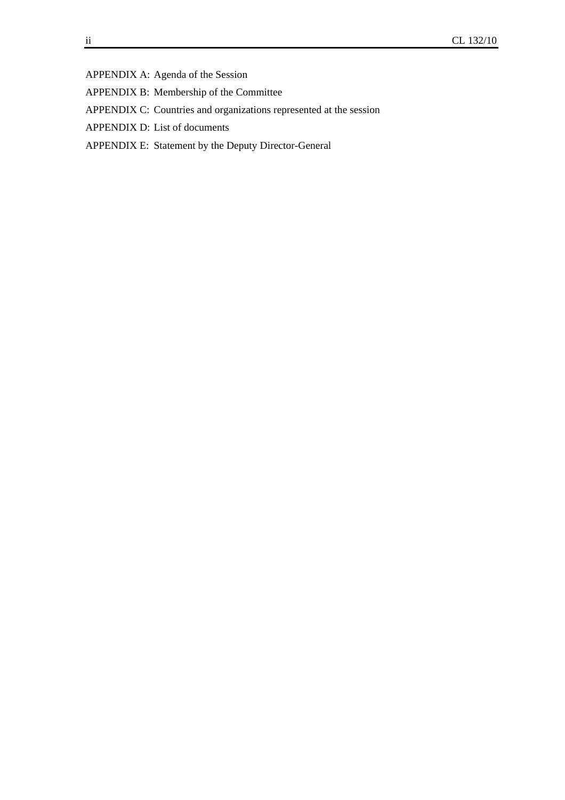APPENDIX A: Agenda of the Session

- APPENDIX B: Membership of the Committee
- APPENDIX C: Countries and organizations represented at the session
- APPENDIX D: List of documents
- APPENDIX E: Statement by the Deputy Director-General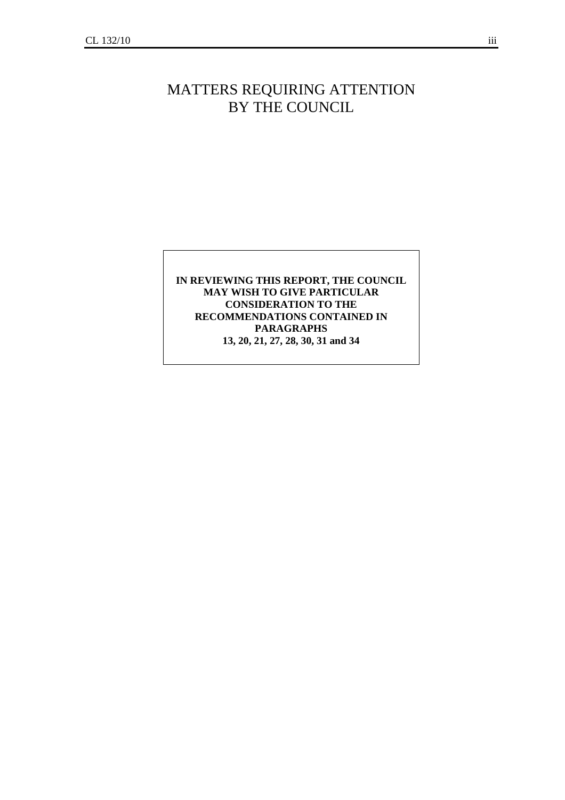# MATTERS REQUIRING ATTENTION BY THE COUNCIL

## **IN REVIEWING THIS REPORT, THE COUNCIL MAY WISH TO GIVE PARTICULAR CONSIDERATION TO THE RECOMMENDATIONS CONTAINED IN PARAGRAPHS 13, 20, 21, 27, 28, 30, 31 and 34**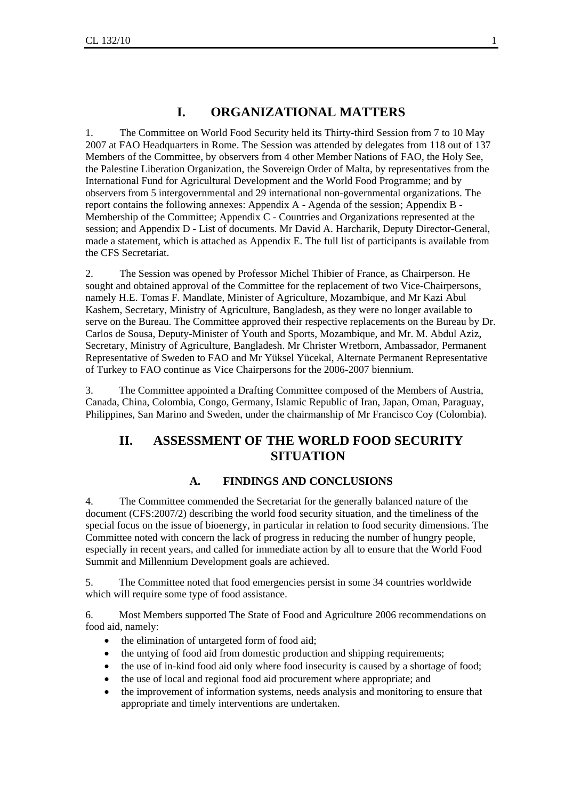## **I. ORGANIZATIONAL MATTERS**

1. The Committee on World Food Security held its Thirty-third Session from 7 to 10 May 2007 at FAO Headquarters in Rome. The Session was attended by delegates from 118 out of 137 Members of the Committee, by observers from 4 other Member Nations of FAO, the Holy See, the Palestine Liberation Organization, the Sovereign Order of Malta, by representatives from the International Fund for Agricultural Development and the World Food Programme; and by observers from 5 intergovernmental and 29 international non-governmental organizations. The report contains the following annexes: Appendix A - Agenda of the session; Appendix B - Membership of the Committee; Appendix C - Countries and Organizations represented at the session; and Appendix D - List of documents. Mr David A. Harcharik, Deputy Director-General, made a statement, which is attached as Appendix E. The full list of participants is available from the CFS Secretariat.

2. The Session was opened by Professor Michel Thibier of France, as Chairperson. He sought and obtained approval of the Committee for the replacement of two Vice-Chairpersons, namely H.E. Tomas F. Mandlate, Minister of Agriculture, Mozambique, and Mr Kazi Abul Kashem, Secretary, Ministry of Agriculture, Bangladesh, as they were no longer available to serve on the Bureau. The Committee approved their respective replacements on the Bureau by Dr. Carlos de Sousa, Deputy-Minister of Youth and Sports, Mozambique, and Mr. M. Abdul Aziz, Secretary, Ministry of Agriculture, Bangladesh. Mr Christer Wretborn, Ambassador, Permanent Representative of Sweden to FAO and Mr Yüksel Yücekal, Alternate Permanent Representative of Turkey to FAO continue as Vice Chairpersons for the 2006-2007 biennium.

3. The Committee appointed a Drafting Committee composed of the Members of Austria, Canada, China, Colombia, Congo, Germany, Islamic Republic of Iran, Japan, Oman, Paraguay, Philippines, San Marino and Sweden, under the chairmanship of Mr Francisco Coy (Colombia).

## **II. ASSESSMENT OF THE WORLD FOOD SECURITY SITUATION**

#### **A. FINDINGS AND CONCLUSIONS**

4. The Committee commended the Secretariat for the generally balanced nature of the document (CFS:2007/2) describing the world food security situation, and the timeliness of the special focus on the issue of bioenergy, in particular in relation to food security dimensions. The Committee noted with concern the lack of progress in reducing the number of hungry people, especially in recent years, and called for immediate action by all to ensure that the World Food Summit and Millennium Development goals are achieved.

5. The Committee noted that food emergencies persist in some 34 countries worldwide which will require some type of food assistance.

6. Most Members supported The State of Food and Agriculture 2006 recommendations on food aid, namely:

- the elimination of untargeted form of food aid;
- the untying of food aid from domestic production and shipping requirements;
- the use of in-kind food aid only where food insecurity is caused by a shortage of food;
- the use of local and regional food aid procurement where appropriate; and
- the improvement of information systems, needs analysis and monitoring to ensure that appropriate and timely interventions are undertaken.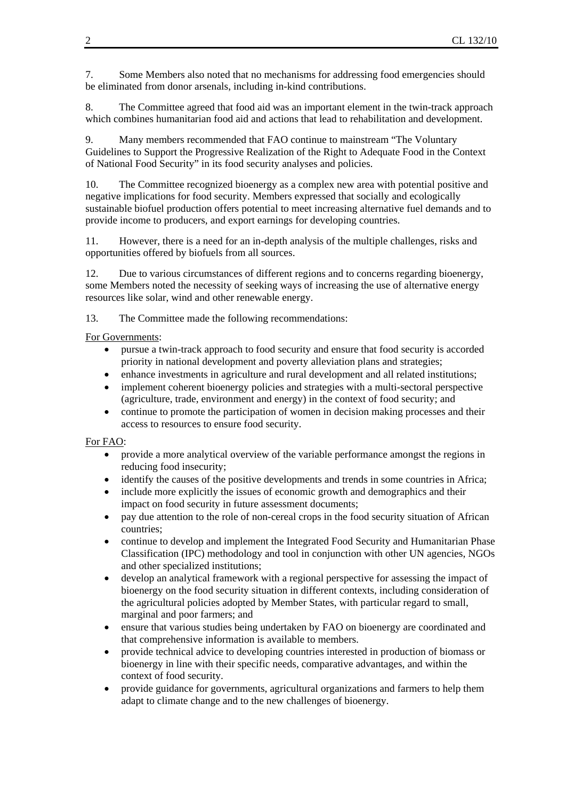7. Some Members also noted that no mechanisms for addressing food emergencies should be eliminated from donor arsenals, including in-kind contributions.

8. The Committee agreed that food aid was an important element in the twin-track approach which combines humanitarian food aid and actions that lead to rehabilitation and development.

9. Many members recommended that FAO continue to mainstream "The Voluntary Guidelines to Support the Progressive Realization of the Right to Adequate Food in the Context of National Food Security" in its food security analyses and policies.

10. The Committee recognized bioenergy as a complex new area with potential positive and negative implications for food security. Members expressed that socially and ecologically sustainable biofuel production offers potential to meet increasing alternative fuel demands and to provide income to producers, and export earnings for developing countries.

11. However, there is a need for an in-depth analysis of the multiple challenges, risks and opportunities offered by biofuels from all sources.

12. Due to various circumstances of different regions and to concerns regarding bioenergy, some Members noted the necessity of seeking ways of increasing the use of alternative energy resources like solar, wind and other renewable energy.

13. The Committee made the following recommendations:

## For Governments:

- pursue a twin-track approach to food security and ensure that food security is accorded priority in national development and poverty alleviation plans and strategies;
- enhance investments in agriculture and rural development and all related institutions;
- implement coherent bioenergy policies and strategies with a multi-sectoral perspective (agriculture, trade, environment and energy) in the context of food security; and
- continue to promote the participation of women in decision making processes and their access to resources to ensure food security.

#### For FAO:

- provide a more analytical overview of the variable performance amongst the regions in reducing food insecurity;
- identify the causes of the positive developments and trends in some countries in Africa;
- include more explicitly the issues of economic growth and demographics and their impact on food security in future assessment documents;
- pay due attention to the role of non-cereal crops in the food security situation of African countries;
- continue to develop and implement the Integrated Food Security and Humanitarian Phase Classification (IPC) methodology and tool in conjunction with other UN agencies, NGOs and other specialized institutions;
- develop an analytical framework with a regional perspective for assessing the impact of bioenergy on the food security situation in different contexts, including consideration of the agricultural policies adopted by Member States, with particular regard to small, marginal and poor farmers; and
- ensure that various studies being undertaken by FAO on bioenergy are coordinated and that comprehensive information is available to members.
- provide technical advice to developing countries interested in production of biomass or bioenergy in line with their specific needs, comparative advantages, and within the context of food security.
- provide guidance for governments, agricultural organizations and farmers to help them adapt to climate change and to the new challenges of bioenergy.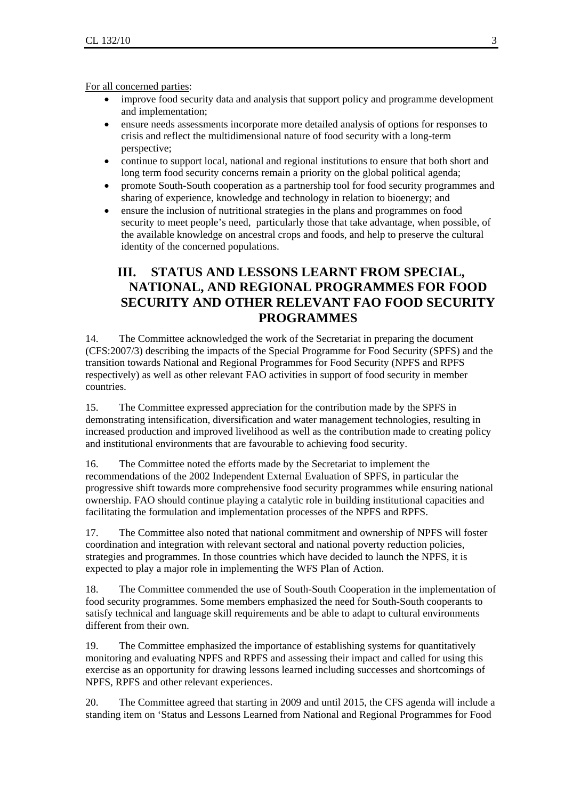For all concerned parties:

- improve food security data and analysis that support policy and programme development and implementation;
- ensure needs assessments incorporate more detailed analysis of options for responses to crisis and reflect the multidimensional nature of food security with a long-term perspective;
- continue to support local, national and regional institutions to ensure that both short and long term food security concerns remain a priority on the global political agenda;
- promote South-South cooperation as a partnership tool for food security programmes and sharing of experience, knowledge and technology in relation to bioenergy; and
- ensure the inclusion of nutritional strategies in the plans and programmes on food security to meet people's need, particularly those that take advantage, when possible, of the available knowledge on ancestral crops and foods, and help to preserve the cultural identity of the concerned populations.

## **III. STATUS AND LESSONS LEARNT FROM SPECIAL, NATIONAL, AND REGIONAL PROGRAMMES FOR FOOD SECURITY AND OTHER RELEVANT FAO FOOD SECURITY PROGRAMMES**

14. The Committee acknowledged the work of the Secretariat in preparing the document (CFS:2007/3) describing the impacts of the Special Programme for Food Security (SPFS) and the transition towards National and Regional Programmes for Food Security (NPFS and RPFS respectively) as well as other relevant FAO activities in support of food security in member countries.

15. The Committee expressed appreciation for the contribution made by the SPFS in demonstrating intensification, diversification and water management technologies, resulting in increased production and improved livelihood as well as the contribution made to creating policy and institutional environments that are favourable to achieving food security.

16. The Committee noted the efforts made by the Secretariat to implement the recommendations of the 2002 Independent External Evaluation of SPFS, in particular the progressive shift towards more comprehensive food security programmes while ensuring national ownership. FAO should continue playing a catalytic role in building institutional capacities and facilitating the formulation and implementation processes of the NPFS and RPFS.

17. The Committee also noted that national commitment and ownership of NPFS will foster coordination and integration with relevant sectoral and national poverty reduction policies, strategies and programmes. In those countries which have decided to launch the NPFS, it is expected to play a major role in implementing the WFS Plan of Action.

18. The Committee commended the use of South-South Cooperation in the implementation of food security programmes. Some members emphasized the need for South-South cooperants to satisfy technical and language skill requirements and be able to adapt to cultural environments different from their own.

19. The Committee emphasized the importance of establishing systems for quantitatively monitoring and evaluating NPFS and RPFS and assessing their impact and called for using this exercise as an opportunity for drawing lessons learned including successes and shortcomings of NPFS, RPFS and other relevant experiences.

20. The Committee agreed that starting in 2009 and until 2015, the CFS agenda will include a standing item on 'Status and Lessons Learned from National and Regional Programmes for Food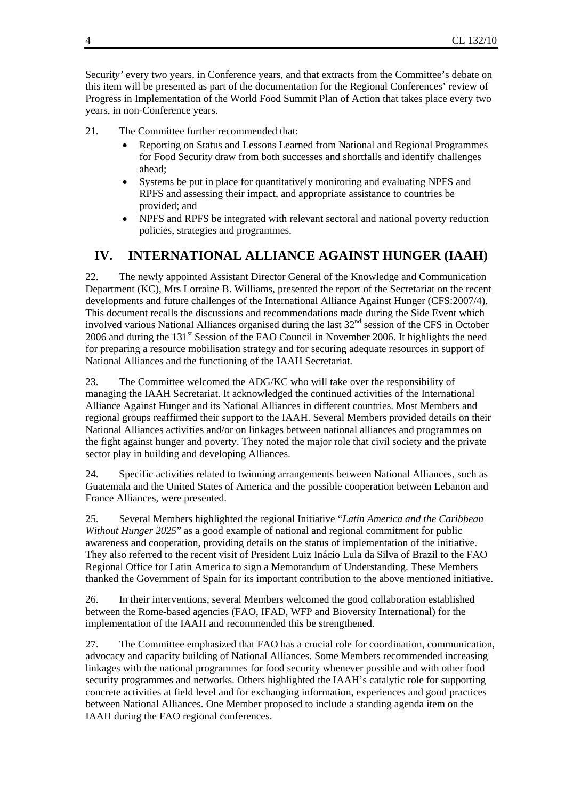Securit*y'* every two years, in Conference years, and that extracts from the Committee's debate on this item will be presented as part of the documentation for the Regional Conferences' review of Progress in Implementation of the World Food Summit Plan of Action that takes place every two years, in non-Conference years.

21. The Committee further recommended that:

- Reporting on Status and Lessons Learned from National and Regional Programmes for Food Securit*y* draw from both successes and shortfalls and identify challenges ahead;
- Systems be put in place for quantitatively monitoring and evaluating NPFS and RPFS and assessing their impact, and appropriate assistance to countries be provided; and
- NPFS and RPFS be integrated with relevant sectoral and national poverty reduction policies, strategies and programmes.

## **IV. INTERNATIONAL ALLIANCE AGAINST HUNGER (IAAH)**

22. The newly appointed Assistant Director General of the Knowledge and Communication Department (KC), Mrs Lorraine B. Williams, presented the report of the Secretariat on the recent developments and future challenges of the International Alliance Against Hunger (CFS:2007/4). This document recalls the discussions and recommendations made during the Side Event which involved various National Alliances organised during the last 32<sup>nd</sup> session of the CFS in October 2006 and during the 131<sup>st</sup> Session of the FAO Council in November 2006. It highlights the need for preparing a resource mobilisation strategy and for securing adequate resources in support of National Alliances and the functioning of the IAAH Secretariat.

23. The Committee welcomed the ADG/KC who will take over the responsibility of managing the IAAH Secretariat. It acknowledged the continued activities of the International Alliance Against Hunger and its National Alliances in different countries. Most Members and regional groups reaffirmed their support to the IAAH. Several Members provided details on their National Alliances activities and/or on linkages between national alliances and programmes on the fight against hunger and poverty. They noted the major role that civil society and the private sector play in building and developing Alliances.

24. Specific activities related to twinning arrangements between National Alliances, such as Guatemala and the United States of America and the possible cooperation between Lebanon and France Alliances, were presented.

25. Several Members highlighted the regional Initiative "*Latin America and the Caribbean Without Hunger 2025*" as a good example of national and regional commitment for public awareness and cooperation, providing details on the status of implementation of the initiative. They also referred to the recent visit of President Luiz Inácio Lula da Silva of Brazil to the FAO Regional Office for Latin America to sign a Memorandum of Understanding. These Members thanked the Government of Spain for its important contribution to the above mentioned initiative.

26. In their interventions, several Members welcomed the good collaboration established between the Rome-based agencies (FAO, IFAD, WFP and Bioversity International) for the implementation of the IAAH and recommended this be strengthened.

27. The Committee emphasized that FAO has a crucial role for coordination, communication, advocacy and capacity building of National Alliances. Some Members recommended increasing linkages with the national programmes for food security whenever possible and with other food security programmes and networks. Others highlighted the IAAH's catalytic role for supporting concrete activities at field level and for exchanging information, experiences and good practices between National Alliances. One Member proposed to include a standing agenda item on the IAAH during the FAO regional conferences.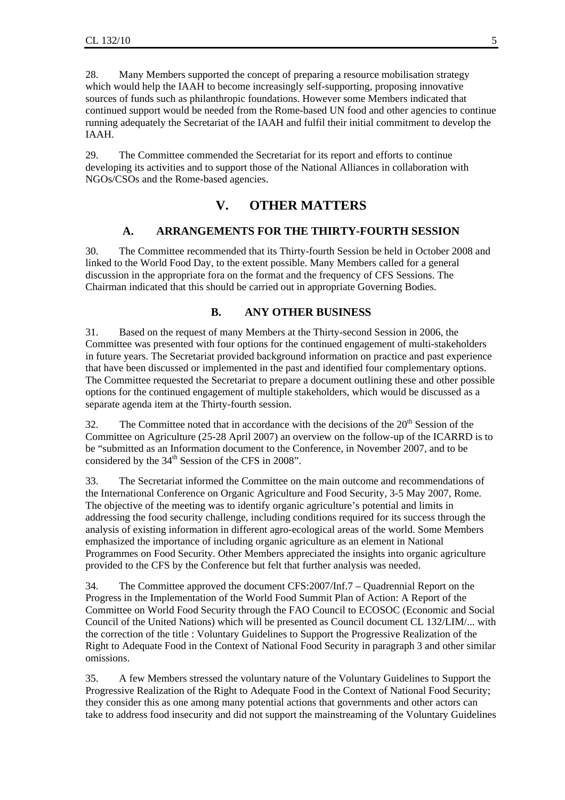28. Many Members supported the concept of preparing a resource mobilisation strategy which would help the IAAH to become increasingly self-supporting, proposing innovative sources of funds such as philanthropic foundations. However some Members indicated that continued support would be needed from the Rome-based UN food and other agencies to continue running adequately the Secretariat of the IAAH and fulfil their initial commitment to develop the IAAH.

29. The Committee commended the Secretariat for its report and efforts to continue developing its activities and to support those of the National Alliances in collaboration with NGOs/CSOs and the Rome-based agencies.

## **V. OTHER MATTERS**

#### **A. ARRANGEMENTS FOR THE THIRTY-FOURTH SESSION**

30. The Committee recommended that its Thirty-fourth Session be held in October 2008 and linked to the World Food Day, to the extent possible. Many Members called for a general discussion in the appropriate fora on the format and the frequency of CFS Sessions. The Chairman indicated that this should be carried out in appropriate Governing Bodies.

#### **B. ANY OTHER BUSINESS**

31. Based on the request of many Members at the Thirty-second Session in 2006, the Committee was presented with four options for the continued engagement of multi-stakeholders in future years. The Secretariat provided background information on practice and past experience that have been discussed or implemented in the past and identified four complementary options. The Committee requested the Secretariat to prepare a document outlining these and other possible options for the continued engagement of multiple stakeholders, which would be discussed as a separate agenda item at the Thirty-fourth session.

32. The Committee noted that in accordance with the decisions of the  $20<sup>th</sup>$  Session of the Committee on Agriculture (25-28 April 2007) an overview on the follow-up of the ICARRD is to be "submitted as an Information document to the Conference, in November 2007, and to be considered by the 34<sup>th</sup> Session of the CFS in 2008".

33. The Secretariat informed the Committee on the main outcome and recommendations of the International Conference on Organic Agriculture and Food Security, 3-5 May 2007, Rome. The objective of the meeting was to identify organic agriculture's potential and limits in addressing the food security challenge, including conditions required for its success through the analysis of existing information in different agro-ecological areas of the world. Some Members emphasized the importance of including organic agriculture as an element in National Programmes on Food Security. Other Members appreciated the insights into organic agriculture provided to the CFS by the Conference but felt that further analysis was needed.

34. The Committee approved the document CFS:2007/Inf.7 – Quadrennial Report on the Progress in the Implementation of the World Food Summit Plan of Action: A Report of the Committee on World Food Security through the FAO Council to ECOSOC (Economic and Social Council of the United Nations) which will be presented as Council document CL 132/LIM/... with the correction of the title : Voluntary Guidelines to Support the Progressive Realization of the Right to Adequate Food in the Context of National Food Security in paragraph 3 and other similar omissions.

35. A few Members stressed the voluntary nature of the Voluntary Guidelines to Support the Progressive Realization of the Right to Adequate Food in the Context of National Food Security; they consider this as one among many potential actions that governments and other actors can take to address food insecurity and did not support the mainstreaming of the Voluntary Guidelines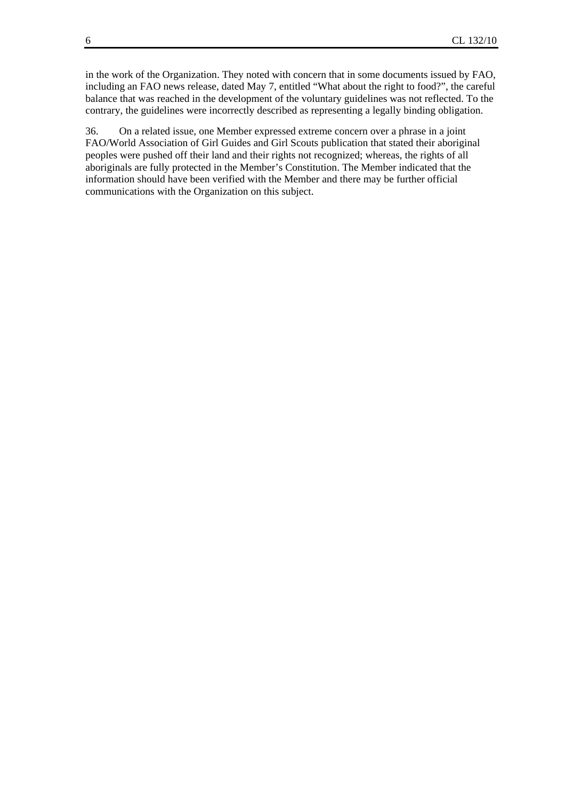in the work of the Organization. They noted with concern that in some documents issued by FAO, including an FAO news release, dated May 7, entitled "What about the right to food?", the careful balance that was reached in the development of the voluntary guidelines was not reflected. To the contrary, the guidelines were incorrectly described as representing a legally binding obligation.

36. On a related issue, one Member expressed extreme concern over a phrase in a joint FAO/World Association of Girl Guides and Girl Scouts publication that stated their aboriginal peoples were pushed off their land and their rights not recognized; whereas, the rights of all aboriginals are fully protected in the Member's Constitution. The Member indicated that the information should have been verified with the Member and there may be further official communications with the Organization on this subject.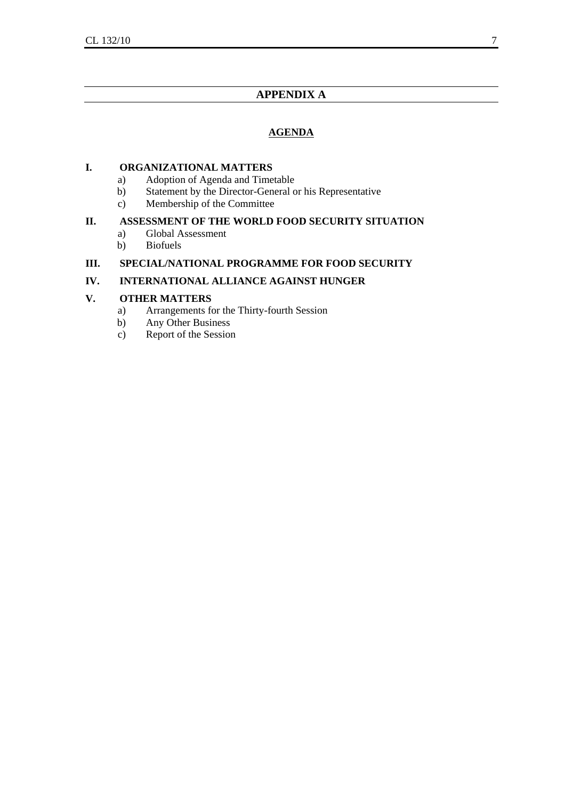## **APPENDIX A**

## **AGENDA**

## **I. ORGANIZATIONAL MATTERS**

- a) Adoption of Agenda and Timetable
- b) Statement by the Director-General or his Representative
- c) Membership of the Committee

## **II. ASSESSMENT OF THE WORLD FOOD SECURITY SITUATION**

- a) Global Assessment
- b) Biofuels

## **III. SPECIAL/NATIONAL PROGRAMME FOR FOOD SECURITY**

## **IV. INTERNATIONAL ALLIANCE AGAINST HUNGER**

## **V. OTHER MATTERS**

- a) Arrangements for the Thirty-fourth Session
- b) Any Other Business
- c) Report of the Session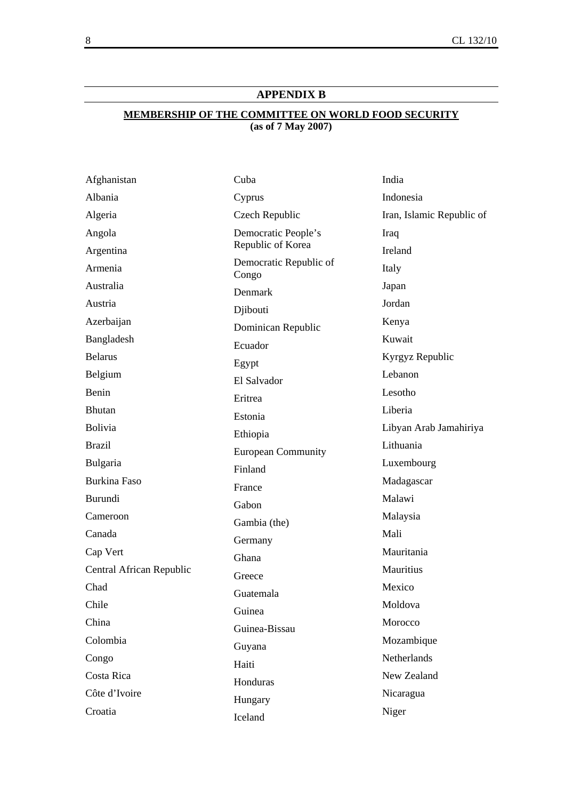## **APPENDIX B**

## **MEMBERSHIP OF THE COMMITTEE ON WORLD FOOD SECURITY (as of 7 May 2007)**

| Afghanistan              | Cuba                            | India                     |
|--------------------------|---------------------------------|---------------------------|
| Albania                  | Cyprus                          | Indonesia                 |
| Algeria                  | Czech Republic                  | Iran, Islamic Republic of |
| Angola                   | Democratic People's             | Iraq                      |
| Argentina                | Republic of Korea               | Ireland                   |
| Armenia                  | Democratic Republic of<br>Congo | Italy                     |
| Australia                | Denmark                         | Japan                     |
| Austria                  | Djibouti                        | Jordan                    |
| Azerbaijan               | Dominican Republic              | Kenya                     |
| Bangladesh               | Ecuador                         | Kuwait                    |
| <b>Belarus</b>           | Egypt                           | Kyrgyz Republic           |
| Belgium                  | El Salvador                     | Lebanon                   |
| Benin                    | Eritrea                         | Lesotho                   |
| Bhutan                   | Estonia                         | Liberia                   |
| Bolivia                  | Ethiopia                        | Libyan Arab Jamahiriya    |
| <b>Brazil</b>            | <b>European Community</b>       | Lithuania                 |
| Bulgaria                 | Finland                         | Luxembourg                |
| <b>Burkina Faso</b>      | France                          | Madagascar                |
| <b>Burundi</b>           | Gabon                           | Malawi                    |
| Cameroon                 | Gambia (the)                    | Malaysia                  |
| Canada                   | Germany                         | Mali                      |
| Cap Vert                 | Ghana                           | Mauritania                |
| Central African Republic | Greece                          | Mauritius                 |
| Chad                     | Guatemala                       | Mexico                    |
| Chile                    | Guinea                          | Moldova                   |
| China                    | Guinea-Bissau                   | Morocco                   |
| Colombia                 | Guyana                          | Mozambique                |
| Congo                    | Haiti                           | Netherlands               |
| Costa Rica               | Honduras                        | New Zealand               |
| Côte d'Ivoire            | Hungary                         | Nicaragua                 |
| Croatia                  | Iceland                         | Niger                     |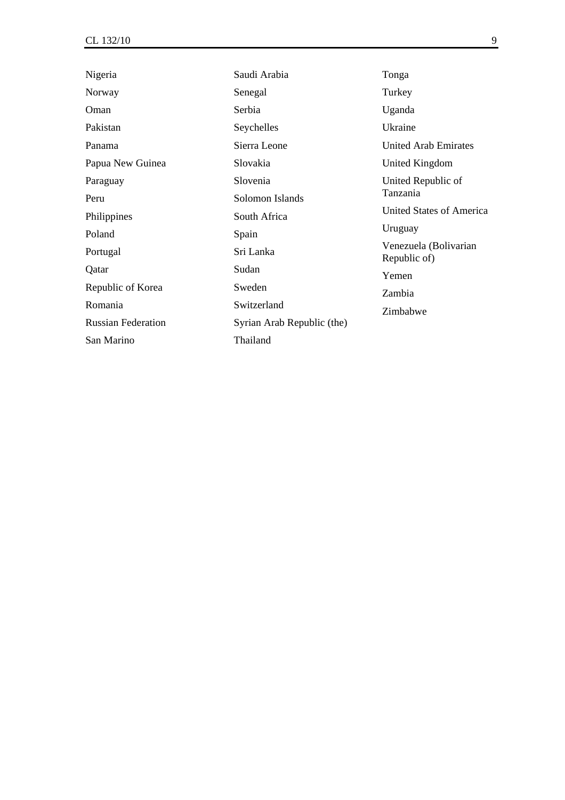| Nigeria                   | Saudi Arabia               | Tonga                                 |
|---------------------------|----------------------------|---------------------------------------|
| Norway                    | Senegal                    | Turkey                                |
| Oman                      | Serbia                     | Uganda                                |
| Pakistan                  | Seychelles                 | Ukraine                               |
| Panama                    | Sierra Leone               | <b>United Arab Emirates</b>           |
| Papua New Guinea          | Slovakia                   | United Kingdom                        |
| Paraguay                  | Slovenia                   | United Republic of                    |
| Peru                      | Solomon Islands            | Tanzania                              |
| Philippines               | South Africa               | <b>United States of America</b>       |
| Poland                    | Spain                      | Uruguay                               |
| Portugal                  | Sri Lanka                  | Venezuela (Bolivarian<br>Republic of) |
| Qatar                     | Sudan                      | Yemen                                 |
| Republic of Korea         | Sweden                     | Zambia                                |
| Romania                   | Switzerland                | Zimbabwe                              |
| <b>Russian Federation</b> | Syrian Arab Republic (the) |                                       |
| San Marino                | Thailand                   |                                       |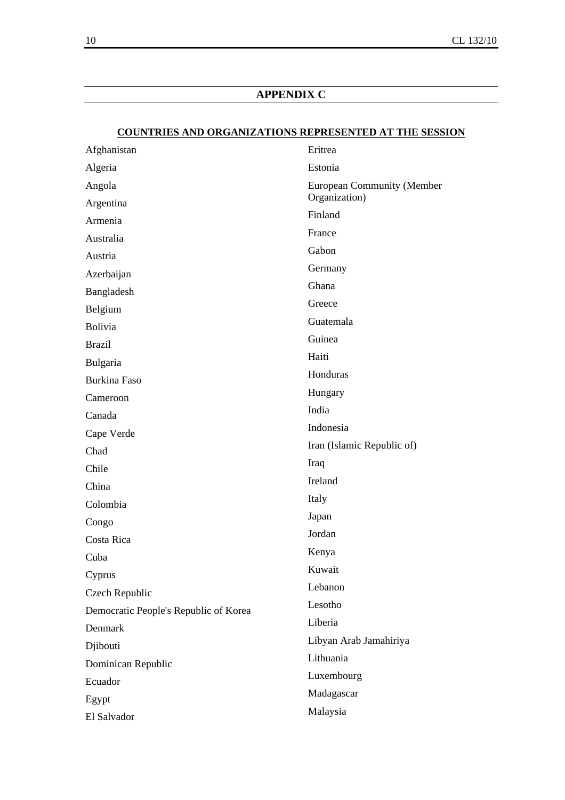## **APPENDIX C**

## **COUNTRIES AND ORGANIZATIONS REPRESENTED AT THE SESSION**

| Afghanistan                           | Eritrea                           |
|---------------------------------------|-----------------------------------|
| Algeria                               | Estonia                           |
| Angola                                | <b>European Community (Member</b> |
| Argentina                             | Organization)                     |
| Armenia                               | Finland                           |
| Australia                             | France                            |
| Austria                               | Gabon                             |
| Azerbaijan                            | Germany                           |
| Bangladesh                            | Ghana                             |
| Belgium                               | Greece                            |
| Bolivia                               | Guatemala                         |
| <b>Brazil</b>                         | Guinea                            |
| Bulgaria                              | Haiti                             |
| <b>Burkina Faso</b>                   | Honduras                          |
| Cameroon                              | Hungary                           |
| Canada                                | India                             |
| Cape Verde                            | Indonesia                         |
| Chad                                  | Iran (Islamic Republic of)        |
| Chile                                 | Iraq                              |
| China                                 | Ireland                           |
| Colombia                              | Italy                             |
| Congo                                 | Japan                             |
| Costa Rica                            | Jordan                            |
| Cuba                                  | Kenya                             |
| Cyprus                                | Kuwait                            |
| Czech Republic                        | Lebanon                           |
| Democratic People's Republic of Korea | Lesotho                           |
| Denmark                               | Liberia                           |
| Djibouti                              | Libyan Arab Jamahiriya            |
| Dominican Republic                    | Lithuania                         |
| Ecuador                               | Luxembourg                        |
| Egypt                                 | Madagascar                        |
| El Salvador                           | Malaysia                          |
|                                       |                                   |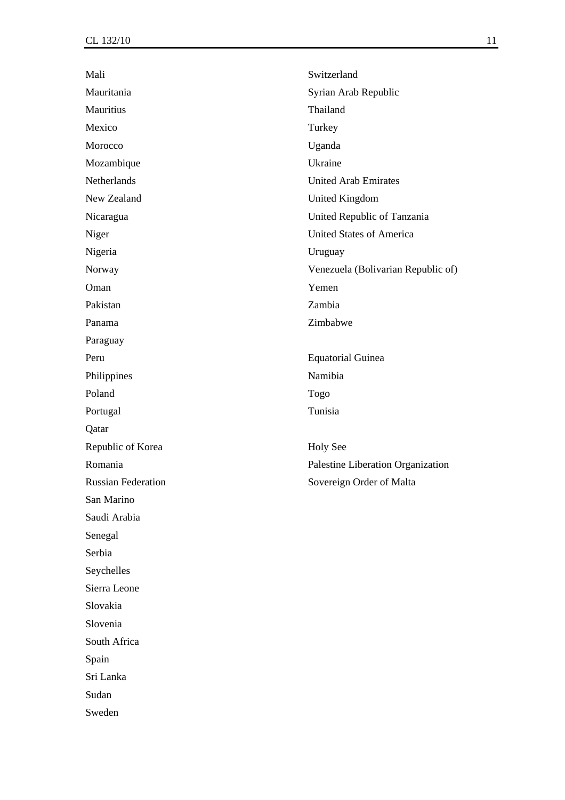| Mali                      | Switzerland                        |
|---------------------------|------------------------------------|
| Mauritania                | Syrian Arab Republic               |
| Mauritius                 | Thailand                           |
| Mexico                    | Turkey                             |
| Morocco                   | Uganda                             |
| Mozambique                | Ukraine                            |
| Netherlands               | <b>United Arab Emirates</b>        |
| New Zealand               | <b>United Kingdom</b>              |
| Nicaragua                 | United Republic of Tanzania        |
| Niger                     | <b>United States of America</b>    |
| Nigeria                   | Uruguay                            |
| Norway                    | Venezuela (Bolivarian Republic of) |
| Oman                      | Yemen                              |
| Pakistan                  | Zambia                             |
| Panama                    | Zimbabwe                           |
| Paraguay                  |                                    |
| Peru                      | <b>Equatorial Guinea</b>           |
| Philippines               | Namibia                            |
| Poland                    | Togo                               |
| Portugal                  | Tunisia                            |
| Qatar                     |                                    |
| Republic of Korea         | <b>Holy See</b>                    |
| Romania                   | Palestine Liberation Organization  |
| <b>Russian Federation</b> | Sovereign Order of Malta           |
| San Marino                |                                    |
| Saudi Arabia              |                                    |
| Senegal                   |                                    |
| Serbia                    |                                    |
| Seychelles                |                                    |
| Sierra Leone              |                                    |
| Slovakia                  |                                    |
| Slovenia                  |                                    |
| South Africa              |                                    |
| Spain                     |                                    |
| Sri Lanka                 |                                    |
| Sudan                     |                                    |
| Sweden                    |                                    |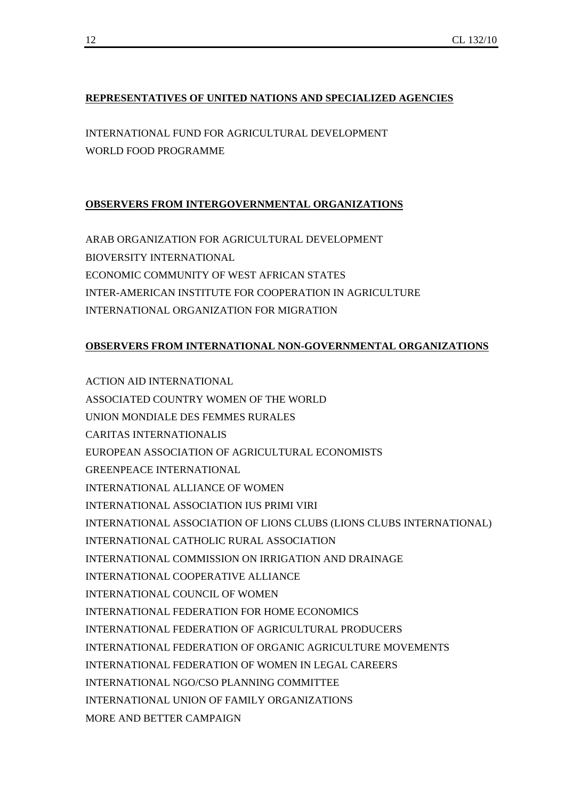## **REPRESENTATIVES OF UNITED NATIONS AND SPECIALIZED AGENCIES**

INTERNATIONAL FUND FOR AGRICULTURAL DEVELOPMENT WORLD FOOD PROGRAMME

## **OBSERVERS FROM INTERGOVERNMENTAL ORGANIZATIONS**

ARAB ORGANIZATION FOR AGRICULTURAL DEVELOPMENT BIOVERSITY INTERNATIONAL ECONOMIC COMMUNITY OF WEST AFRICAN STATES INTER-AMERICAN INSTITUTE FOR COOPERATION IN AGRICULTURE INTERNATIONAL ORGANIZATION FOR MIGRATION

## **OBSERVERS FROM INTERNATIONAL NON-GOVERNMENTAL ORGANIZATIONS**

ACTION AID INTERNATIONAL ASSOCIATED COUNTRY WOMEN OF THE WORLD UNION MONDIALE DES FEMMES RURALES CARITAS INTERNATIONALIS EUROPEAN ASSOCIATION OF AGRICULTURAL ECONOMISTS GREENPEACE INTERNATIONAL INTERNATIONAL ALLIANCE OF WOMEN INTERNATIONAL ASSOCIATION IUS PRIMI VIRI INTERNATIONAL ASSOCIATION OF LIONS CLUBS (LIONS CLUBS INTERNATIONAL) INTERNATIONAL CATHOLIC RURAL ASSOCIATION INTERNATIONAL COMMISSION ON IRRIGATION AND DRAINAGE INTERNATIONAL COOPERATIVE ALLIANCE INTERNATIONAL COUNCIL OF WOMEN INTERNATIONAL FEDERATION FOR HOME ECONOMICS INTERNATIONAL FEDERATION OF AGRICULTURAL PRODUCERS INTERNATIONAL FEDERATION OF ORGANIC AGRICULTURE MOVEMENTS INTERNATIONAL FEDERATION OF WOMEN IN LEGAL CAREERS INTERNATIONAL NGO/CSO PLANNING COMMITTEE INTERNATIONAL UNION OF FAMILY ORGANIZATIONS MORE AND BETTER CAMPAIGN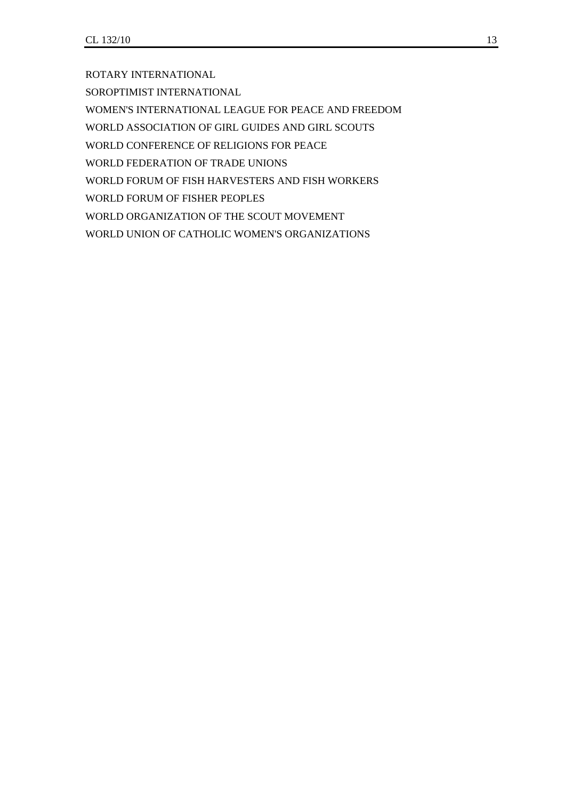ROTARY INTERNATIONAL

SOROPTIMIST INTERNATIONAL

WOMEN'S INTERNATIONAL LEAGUE FOR PEACE AND FREEDOM

WORLD ASSOCIATION OF GIRL GUIDES AND GIRL SCOUTS

WORLD CONFERENCE OF RELIGIONS FOR PEACE

WORLD FEDERATION OF TRADE UNIONS

WORLD FORUM OF FISH HARVESTERS AND FISH WORKERS

WORLD FORUM OF FISHER PEOPLES

WORLD ORGANIZATION OF THE SCOUT MOVEMENT

WORLD UNION OF CATHOLIC WOMEN'S ORGANIZATIONS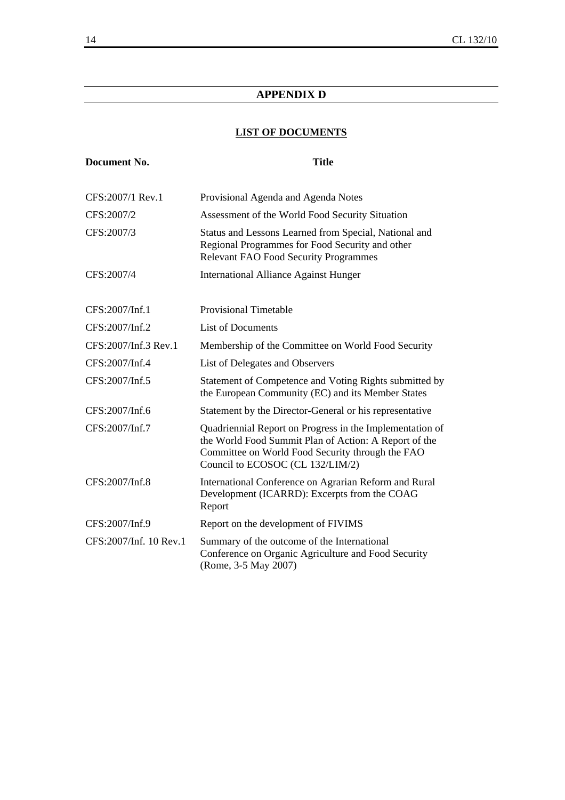## **APPENDIX D**

## **LIST OF DOCUMENTS**

| <b>Document No.</b>    | <b>Title</b>                                                                                                                                                                                              |
|------------------------|-----------------------------------------------------------------------------------------------------------------------------------------------------------------------------------------------------------|
| CFS:2007/1 Rev.1       | Provisional Agenda and Agenda Notes                                                                                                                                                                       |
| CFS:2007/2             | Assessment of the World Food Security Situation                                                                                                                                                           |
| CFS:2007/3             | Status and Lessons Learned from Special, National and<br>Regional Programmes for Food Security and other<br><b>Relevant FAO Food Security Programmes</b>                                                  |
| CFS:2007/4             | <b>International Alliance Against Hunger</b>                                                                                                                                                              |
| CFS:2007/Inf.1         | <b>Provisional Timetable</b>                                                                                                                                                                              |
| CFS:2007/Inf.2         | <b>List of Documents</b>                                                                                                                                                                                  |
| CFS:2007/Inf.3 Rev.1   | Membership of the Committee on World Food Security                                                                                                                                                        |
| CFS:2007/Inf.4         | List of Delegates and Observers                                                                                                                                                                           |
| CFS:2007/Inf.5         | Statement of Competence and Voting Rights submitted by<br>the European Community (EC) and its Member States                                                                                               |
| CFS:2007/Inf.6         | Statement by the Director-General or his representative                                                                                                                                                   |
| CFS:2007/Inf.7         | Quadriennial Report on Progress in the Implementation of<br>the World Food Summit Plan of Action: A Report of the<br>Committee on World Food Security through the FAO<br>Council to ECOSOC (CL 132/LIM/2) |
| CFS:2007/Inf.8         | International Conference on Agrarian Reform and Rural<br>Development (ICARRD): Excerpts from the COAG<br>Report                                                                                           |
| CFS:2007/Inf.9         | Report on the development of FIVIMS                                                                                                                                                                       |
| CFS:2007/Inf. 10 Rev.1 | Summary of the outcome of the International<br>Conference on Organic Agriculture and Food Security<br>(Rome, 3-5 May 2007)                                                                                |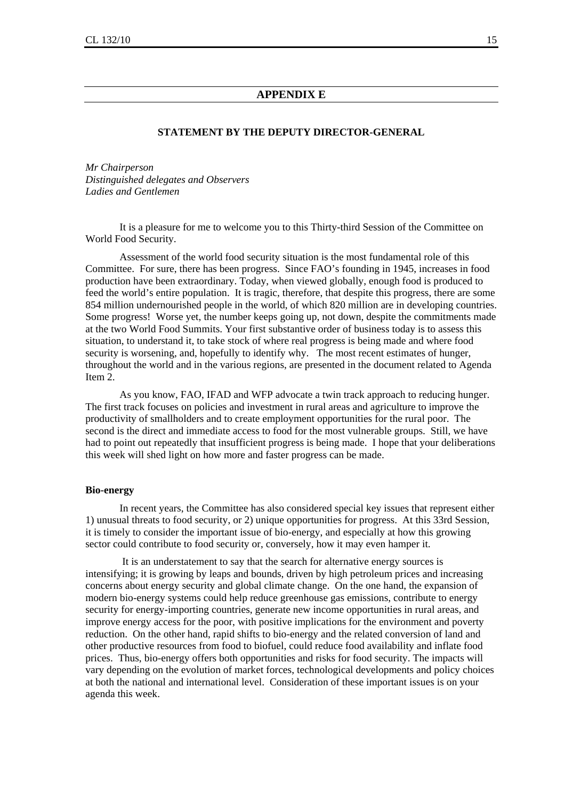#### **APPENDIX E**

#### **STATEMENT BY THE DEPUTY DIRECTOR-GENERAL**

*Mr Chairperson Distinguished delegates and Observers Ladies and Gentlemen* 

 It is a pleasure for me to welcome you to this Thirty-third Session of the Committee on World Food Security.

 Assessment of the world food security situation is the most fundamental role of this Committee. For sure, there has been progress. Since FAO's founding in 1945, increases in food production have been extraordinary. Today, when viewed globally, enough food is produced to feed the world's entire population. It is tragic, therefore, that despite this progress, there are some 854 million undernourished people in the world, of which 820 million are in developing countries. Some progress! Worse yet, the number keeps going up, not down, despite the commitments made at the two World Food Summits. Your first substantive order of business today is to assess this situation, to understand it, to take stock of where real progress is being made and where food security is worsening, and, hopefully to identify why. The most recent estimates of hunger, throughout the world and in the various regions, are presented in the document related to Agenda Item 2.

 As you know, FAO, IFAD and WFP advocate a twin track approach to reducing hunger. The first track focuses on policies and investment in rural areas and agriculture to improve the productivity of smallholders and to create employment opportunities for the rural poor. The second is the direct and immediate access to food for the most vulnerable groups. Still, we have had to point out repeatedly that insufficient progress is being made. I hope that your deliberations this week will shed light on how more and faster progress can be made.

#### **Bio-energy**

 In recent years, the Committee has also considered special key issues that represent either 1) unusual threats to food security, or 2) unique opportunities for progress. At this 33rd Session, it is timely to consider the important issue of bio-energy, and especially at how this growing sector could contribute to food security or, conversely, how it may even hamper it.

 It is an understatement to say that the search for alternative energy sources is intensifying; it is growing by leaps and bounds, driven by high petroleum prices and increasing concerns about energy security and global climate change. On the one hand, the expansion of modern bio-energy systems could help reduce greenhouse gas emissions, contribute to energy security for energy-importing countries, generate new income opportunities in rural areas, and improve energy access for the poor, with positive implications for the environment and poverty reduction. On the other hand, rapid shifts to bio-energy and the related conversion of land and other productive resources from food to biofuel, could reduce food availability and inflate food prices. Thus, bio-energy offers both opportunities and risks for food security. The impacts will vary depending on the evolution of market forces, technological developments and policy choices at both the national and international level. Consideration of these important issues is on your agenda this week.